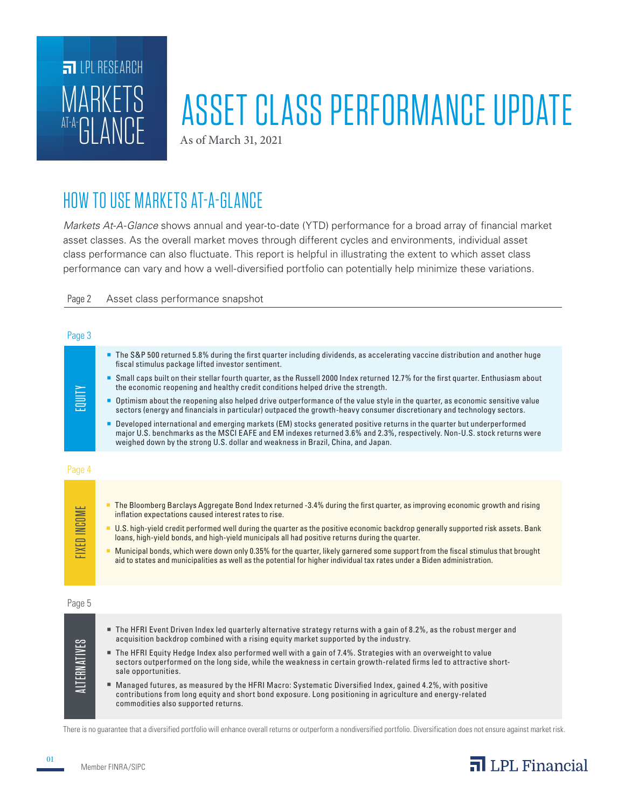

# ASSET CLASS PERFORMANCE UPDATE

As of March 31, 2021

## HOW TO USE MARKETS AT-A-GLANCE

*Markets At-A-Glance* shows annual and year-to-date (YTD) performance for a broad array of financial market asset classes. As the overall market moves through different cycles and environments, individual asset class performance can also fluctuate. This report is helpful in illustrating the extent to which asset class performance can vary and how a well-diversified portfolio can potentially help minimize these variations.

Page 2 Asset class performance snapshot

#### Page 3

| EQUITY              | The S&P 500 returned 5.8% during the first quarter including dividends, as accelerating vaccine distribution and another huge<br>fiscal stimulus package lifted investor sentiment.<br>Small caps built on their stellar fourth quarter, as the Russell 2000 Index returned 12.7% for the first quarter. Enthusiasm about<br>the economic reopening and healthy credit conditions helped drive the strength.<br>• Optimism about the reopening also helped drive outperformance of the value style in the quarter, as economic sensitive value<br>sectors (energy and financials in particular) outpaced the growth-heavy consumer discretionary and technology sectors.<br><b>Developed international and emerging markets (EM) stocks generated positive returns in the quarter but underperformed</b><br>major U.S. benchmarks as the MSCI EAFE and EM indexes returned 3.6% and 2.3%, respectively. Non-U.S. stock returns were<br>weighed down by the strong U.S. dollar and weakness in Brazil, China, and Japan. |
|---------------------|-------------------------------------------------------------------------------------------------------------------------------------------------------------------------------------------------------------------------------------------------------------------------------------------------------------------------------------------------------------------------------------------------------------------------------------------------------------------------------------------------------------------------------------------------------------------------------------------------------------------------------------------------------------------------------------------------------------------------------------------------------------------------------------------------------------------------------------------------------------------------------------------------------------------------------------------------------------------------------------------------------------------------|
| Page 4              |                                                                                                                                                                                                                                                                                                                                                                                                                                                                                                                                                                                                                                                                                                                                                                                                                                                                                                                                                                                                                         |
| <b>FIXED INCOME</b> | The Bloomberg Barclays Aggregate Bond Index returned -3.4% during the first quarter, as improving economic growth and rising<br>inflation expectations caused interest rates to rise.<br>U.S. high-yield credit performed well during the quarter as the positive economic backdrop generally supported risk assets. Bank<br>loans, high-yield bonds, and high-yield municipals all had positive returns during the quarter.<br>Municipal bonds, which were down only 0.35% for the quarter, likely garnered some support from the fiscal stimulus that brought<br>aid to states and municipalities as well as the potential for higher individual tax rates under a Biden administration.                                                                                                                                                                                                                                                                                                                              |
| Page 5              |                                                                                                                                                                                                                                                                                                                                                                                                                                                                                                                                                                                                                                                                                                                                                                                                                                                                                                                                                                                                                         |
| <u>ALTERNATIVES</u> | The HFRI Event Driven Index led quarterly alternative strategy returns with a gain of 8.2%, as the robust merger and<br>acquisition backdrop combined with a rising equity market supported by the industry.<br>The HFRI Equity Hedge Index also performed well with a gain of 7.4%. Strategies with an overweight to value<br>sectors outperformed on the long side, while the weakness in certain growth-related firms led to attractive short-<br>sale opportunities.<br>■ Managed futures, as measured by the HFRI Macro: Systematic Diversified Index, gained 4.2%, with positive<br>contributions from long equity and short bond exposure. Long positioning in agriculture and energy-related<br>commodities also supported returns.                                                                                                                                                                                                                                                                             |

There is no guarantee that a diversified portfolio will enhance overall returns or outperform a nondiversified portfolio. Diversification does not ensure against market risk.



01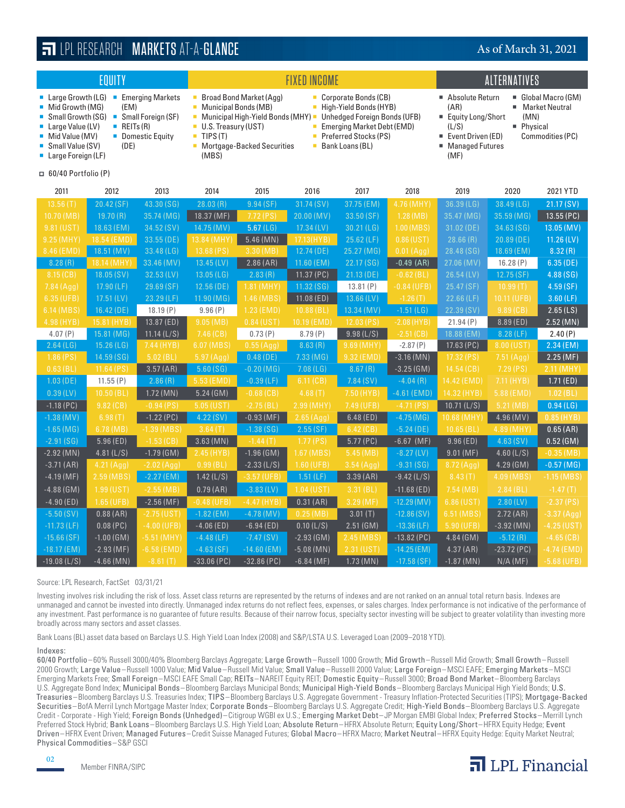| EQUITY                                                                                                                                                                                                                                                                         |              |               |                                                                                                                       |                                                                                                           | <b>FIXED INCOME</b>                                                                                         | <b>ALTERNATIVES</b>                                               |                                                                                                                                                                                                                        |              |               |               |
|--------------------------------------------------------------------------------------------------------------------------------------------------------------------------------------------------------------------------------------------------------------------------------|--------------|---------------|-----------------------------------------------------------------------------------------------------------------------|-----------------------------------------------------------------------------------------------------------|-------------------------------------------------------------------------------------------------------------|-------------------------------------------------------------------|------------------------------------------------------------------------------------------------------------------------------------------------------------------------------------------------------------------------|--------------|---------------|---------------|
| ■ Large Growth (LG)<br>■ Emerging Markets<br>Mid Growth (MG)<br>(EM)<br>Small Growth (SG)<br>• Small Foreign (SF)<br>$\blacksquare$ REITs (R)<br>Large Value (LV)<br>■ Mid Value (MV)<br>• Domestic Equity<br>Small Value (SV)<br>(DE)<br>$\blacksquare$<br>Large Foreign (LF) |              |               | ш<br>×,<br><b>Municipal Bonds (MB)</b><br>$\blacksquare$<br>U.S. Treasury (UST)<br>×,<br>TIPS (T)<br>٠<br>Ì.<br>(MBS) | <b>Broad Bond Market (Agg)</b><br>Municipal High-Yield Bonds (MHY) =<br><b>Mortgage-Backed Securities</b> | Corporate Bonds (CB)<br>High-Yield Bonds (HYB)<br>×<br><b>Preferred Stocks (PS)</b><br>×<br>Bank Loans (BL) | Unhedged Foreign Bonds (UFB)<br><b>Emerging Market Debt (EMD)</b> | Absolute Return<br>Global Macro (GM)<br>۰,<br>(AR)<br><b>Market Neutral</b><br>g,<br>■ Equity Long/Short<br>(MN)<br>Physical<br>(L/S)<br>۰,<br>Event Driven (ED)<br>Commodities (PC)<br><b>Managed Futures</b><br>(MF) |              |               |               |
| $\Box$ 60/40 Portfolio (P)                                                                                                                                                                                                                                                     |              |               |                                                                                                                       |                                                                                                           |                                                                                                             |                                                                   |                                                                                                                                                                                                                        |              |               |               |
| 2011                                                                                                                                                                                                                                                                           | 2012         | 2013          | 2014                                                                                                                  | 2015                                                                                                      | 2016                                                                                                        | 2017                                                              | 2018                                                                                                                                                                                                                   | 2019         | 2020          | 2021 YTD      |
| 13.56(T)                                                                                                                                                                                                                                                                       | 20.42 (SF)   | 43.30 (SG)    | 28.03(R)                                                                                                              | 9.94(SF)                                                                                                  | 31.74 (SV)                                                                                                  | 37.75 (EM)                                                        | 4.76 (MHY)                                                                                                                                                                                                             | 36.39 (LG)   | 38.49 (LG)    | 21.17 (SV)    |
| 10.70 (MB)                                                                                                                                                                                                                                                                     | 19.70(R)     | 35.74 (MG)    | 18.37 (MF)                                                                                                            | 7.72(PS)                                                                                                  | 20.00 (MV)                                                                                                  | 33.50 (SF)                                                        | 1.28(MB)                                                                                                                                                                                                               | 35.47 (MG)   | 35.59 (MG)    | 13.55 (PC)    |
| 9.81 (UST)                                                                                                                                                                                                                                                                     | 18.63 (EM)   | 34.52 (SV)    | 14.75 (MV)                                                                                                            | 5.67(LG)                                                                                                  | $17.34$ (LV)                                                                                                | 30.21 (LG)                                                        | 1.00 (MBS)                                                                                                                                                                                                             | 31.02 (DE)   | 34.63 (SG)    | 13.05 (MV)    |
| 9.25 (MHY)                                                                                                                                                                                                                                                                     | 18.54 (EMD)  | $33.55$ (DE)  | 13.84 (MHY)                                                                                                           | $5.46$ (MN)                                                                                               | 17.13(HYB)                                                                                                  | $25.62$ (LF)                                                      | $0.86$ (UST)                                                                                                                                                                                                           | 28.66(R)     | 20.89 (DE)    | $11.26$ (LV)  |
| 8.46 (EMD)                                                                                                                                                                                                                                                                     | 18.51 (MV)   | 33.48 (LG)    | $13.68$ (PS)                                                                                                          | 3.30 (MB)                                                                                                 | 12.74 (DE)                                                                                                  | 25.27 (MG)                                                        | 0.01 (Agg)                                                                                                                                                                                                             | 28.48 (SG)   | 18.69 (EM)    | 8.32(R)       |
| 8.28(R)                                                                                                                                                                                                                                                                        | 18.14 (MHY)  | 33.46 (MV)    | 13.45 (LV)                                                                                                            | 2.86 (AR)                                                                                                 | $11.60$ (EM)                                                                                                | 22.17 (SG)                                                        | $-0.49$ (AR)                                                                                                                                                                                                           | 27.06 (MV)   | 16.28(P)      | 6.35(DE)      |
| 8.15 (CB)                                                                                                                                                                                                                                                                      | 18.05 (SV)   | $32.53$ (LV)  | $13.05$ (LG)                                                                                                          | 2.83(R)                                                                                                   | 11.37 (PC)                                                                                                  | 21.13 (DE)                                                        | $-0.62$ (BL)                                                                                                                                                                                                           | $26.54$ (LV) | 12.75(SF)     | 4.88 (SG)     |
| 7.84 (Agg)                                                                                                                                                                                                                                                                     | $17.90$ (LF) | 29.69 (SF)    | 12.56 (DE)                                                                                                            | 1.81 (MHY)                                                                                                | 11.32(SG)                                                                                                   | 13.81(P)                                                          | $-0.84$ (UFB)                                                                                                                                                                                                          | 25.47 (SF)   | 10.99(T)      | 4.59(SF)      |
| 6.35 (UFB)                                                                                                                                                                                                                                                                     | $17.51$ (LV) | 23.29 (LF)    | 11.90 (MG)                                                                                                            | 1.46 (MBS)                                                                                                | $11.08$ (ED)                                                                                                | 13.66 (LV)                                                        | $-1.26(T)$                                                                                                                                                                                                             | $22.66$ (LF) | 10.11 (UFB)   | $3.60$ (LF)   |
| 6.14 (MBS)                                                                                                                                                                                                                                                                     | 16.42 (DE)   | 18.19(P)      | 9.96(P)                                                                                                               | $1.23$ (EMD)                                                                                              | 10.88(BL)                                                                                                   | 13.34 (MV)                                                        | $-1.51$ (LG)                                                                                                                                                                                                           | 22.39 (SV)   | 9.89(CB)      | 2.65(LS)      |
| 4.98 (HYB)                                                                                                                                                                                                                                                                     | 15.81 (HYB)  | 13.87 (ED)    | 9.05(MB)                                                                                                              | $0.84$ (UST)                                                                                              | 10.19 (EMD)                                                                                                 | $12.03$ (PS)                                                      | $-2.08$ (HYB)                                                                                                                                                                                                          | 21.94(P)     | 8.89 (ED)     | 2.52 (MN)     |
| 4.07(P)                                                                                                                                                                                                                                                                        | 15.81 (MG)   | 11.14 (L/S)   | $7.46$ (CB)                                                                                                           | 0.73(P)                                                                                                   | 8.79(P)                                                                                                     | 9.98(L/S)                                                         | $-2.51$ (CB)                                                                                                                                                                                                           | 18.88 (EM)   | 8.28 (LF)     | 2.40(P)       |
| 2.64(LG)                                                                                                                                                                                                                                                                       | 15.26(LG)    | 7.44 (HYB)    | 6.07 (MBS)                                                                                                            | 0.55(Agg)                                                                                                 | 8.63(R)                                                                                                     | $9.69$ (MHY)                                                      | $-2.87(P)$                                                                                                                                                                                                             | 17.63 (PC)   | 8.00 (UST)    | $2.34$ (EM)   |
| $1.86$ (PS)                                                                                                                                                                                                                                                                    | 14.59 (SG)   | 5.02(BL)      | $5.97$ (Aaa)                                                                                                          | $0.48$ (DE)                                                                                               | 7.33(MG)                                                                                                    | 9.32 (EMD)                                                        | $-3.16$ (MN)                                                                                                                                                                                                           | 17.32(PS)    | 7.51 (Agg)    | 2.25 (MF)     |
| $0.63$ (BL)                                                                                                                                                                                                                                                                    | 11.64 (PS)   | 3.57(AR)      | 5.60(SG)                                                                                                              | $-0.20(MG)$                                                                                               | 7.08(LG)                                                                                                    | 8.67(R)                                                           | $-3.25$ (GM)                                                                                                                                                                                                           | 14.54 (CB)   | 7.29 (PS)     | 2.11 (MHY)    |
| $1.03$ (DE)                                                                                                                                                                                                                                                                    | 11.55(P)     | 2.86(R)       | 5.53 (EMD)                                                                                                            | $-0.39$ (LF)                                                                                              | $6.11$ (CB)                                                                                                 | 7.84 (SV)                                                         | $-4.04(R)$                                                                                                                                                                                                             | 14.42 (EMD)  | 7.11 (HYB)    | 1.71(ED)      |
| $0.39$ (LV)                                                                                                                                                                                                                                                                    | 10.50(BL)    | 1.72 (MN)     | $5.24$ (GM)                                                                                                           | $-0.68$ (CB)                                                                                              | 4.68(T)                                                                                                     | 7.50 (HYB)                                                        | $-4.61$ (EMD)                                                                                                                                                                                                          | 14.32 (HYB)  | 5.88 (EMD)    | 1.02(BL)      |
| $-1.18$ (PC)                                                                                                                                                                                                                                                                   | $9.82$ (CB)  | $-0.94$ (PS)  | $5.05$ (UST)                                                                                                          | $-2.75(BL)$                                                                                               | 2.99 (MHY)                                                                                                  | 7.49 (UFB)                                                        | $-4.71$ (PS)                                                                                                                                                                                                           | 10.71(L/S)   | 5.21(MB)      | 0.94(LG)      |
| $-1.38$ (MV)                                                                                                                                                                                                                                                                   | 6.98(T)      | $-1.22$ (PC)  | 4.22(SV)                                                                                                              | $-0.93$ (MF)                                                                                              | 2.65 (Agg)                                                                                                  | 6.48(ED)                                                          | $-4.75(MG)$                                                                                                                                                                                                            | 10.68 (MHY)  | 4.96 (MV)     | $0.85$ (HYB)  |
| $-1.65$ (MG)                                                                                                                                                                                                                                                                   | 6.78(MB)     | $-1.39$ (MBS) | 3.64(T)                                                                                                               | $-1.38(SG)$                                                                                               | 2.55(SF)                                                                                                    | $6.42$ (CB)                                                       | $-5.24$ (DE)                                                                                                                                                                                                           | 10.65(BL)    | 4.89 (MHY)    | 0.65(AR)      |
| $-2.91(SG)$                                                                                                                                                                                                                                                                    | 5.96(ED)     | $-1.53$ (CB)  | 3.63 (MN)                                                                                                             | $-1.44(T)$                                                                                                | 1.77(PS)                                                                                                    | 5.77 (PC)                                                         | $-6.67$ (MF)                                                                                                                                                                                                           | 9.96(ED)     | 4.63(SV)      | $0.52$ (GM)   |
| $-2.92$ (MN)                                                                                                                                                                                                                                                                   | 4.81 (L/S)   | $-1.79$ (GM)  | 2.45 (HYB)                                                                                                            | $-1.96$ (GM)                                                                                              | 1.67 (MBS)                                                                                                  | 5.45(MB)                                                          | $-8.27$ (LV)                                                                                                                                                                                                           | 9.01(MF)     | 4.60(L/S)     | $-0.35(MB)$   |
| $-3.71(AR)$                                                                                                                                                                                                                                                                    | 4.21 (Agg)   | $-2.02 (Aqa)$ | 0.99(BL)                                                                                                              | $-2.33(L/S)$                                                                                              | 1.60 (UFB)                                                                                                  | 3.54 (Aqa)                                                        | $-9.31(SG)$                                                                                                                                                                                                            | 8.72 (Agg)   | 4.29 (GM)     | $-0.57$ (MG)  |
| $-4.19$ (MF)                                                                                                                                                                                                                                                                   | 2.59 (MBS)   | $-2.27$ (EM)  | 1.42(L/S)                                                                                                             | $-3.57$ (UFB)                                                                                             | $1.51$ (LF)                                                                                                 | 3.39 (AR)                                                         | $-9.42$ (L/S)                                                                                                                                                                                                          | 8.43(T)      | 4.09 (MBS)    | $-1.15$ (MBS) |
| $-4.88$ (GM)                                                                                                                                                                                                                                                                   | $1.99$ (UST) | $-2.55(MB)$   | 0.79(AR)                                                                                                              | $-3.83$ (LV)                                                                                              | 1.04 (UST)                                                                                                  | 3.31(BL)                                                          | $-11.68$ (ED)                                                                                                                                                                                                          | 7.54 (MB)    | 2.84(BL)      | $-1.47(T)$    |
| $-4.90$ (ED)                                                                                                                                                                                                                                                                   | 1.65 (UFB)   | $-2.56(MF)$   | $-0.48$ (UFB)                                                                                                         | $-4.47$ (HYB)                                                                                             | 0.31 (AR)                                                                                                   | 3.29(MF)                                                          | $-12.29(MV)$                                                                                                                                                                                                           | 6.86 (UST)   | $2.80$ (LV)   | $-2.37(PS)$   |
| $-5.50(SV)$                                                                                                                                                                                                                                                                    | 0.88(AR)     | -2.75 (UST)   | $-1.82$ (EM)                                                                                                          | $-4.78$ (MV)                                                                                              | 0.25(MB)                                                                                                    | 3.01(T)                                                           | $-12.86(SV)$                                                                                                                                                                                                           | 6.51 (MBS)   | 2.72 (AR)     | $-3.37(Agg)$  |
| $-11.73$ (LF)                                                                                                                                                                                                                                                                  | $0.08$ (PC)  | $-4.00$ (UFB) | $-4.06$ (ED)                                                                                                          | $-6.94$ (ED)                                                                                              | 0.10 (L/S)                                                                                                  | $2.51$ (GM)                                                       | $-13.36$ (LF)                                                                                                                                                                                                          | 5.90 (UFB)   | $-3.92$ (MN)  | $-4.25(UST)$  |
| $-15.66(SF)$                                                                                                                                                                                                                                                                   | $-1.00$ (GM) | $-5.51$ (MHY) | $-4.48$ (LF)                                                                                                          | $-7.47$ (SV)                                                                                              | $-2.93$ (GM)                                                                                                | 2.45(MBS)                                                         | $-13.82$ (PC)                                                                                                                                                                                                          | $4.84$ (GM)  | $-5.12(R)$    | $-4.65$ (CB)  |
| $-18.17$ (EM)                                                                                                                                                                                                                                                                  | $-2.93$ (MF) | $-6.58$ (EMD) | $-4.63(SF)$                                                                                                           | $-14.60$ (EM)                                                                                             | $-5.08$ (MN)                                                                                                | 2.31 (UST)                                                        | $-14.25$ (EM)                                                                                                                                                                                                          | 4.37 (AR)    | $-23.72$ (PC) | $-4.74$ (EMD) |
| $-19.08$ (L/S)                                                                                                                                                                                                                                                                 | $-4.66$ (MN) | $-8.61(T)$    | $-33.06$ (PC)                                                                                                         | $-32.86$ (PC)                                                                                             | $-6.84(MF)$                                                                                                 | $1.73 \overline{(MN)}$                                            | $-17.58(SF)$                                                                                                                                                                                                           | $-1.87$ (MN) | $N/A$ (MF)    | $-5.68$ (UFB) |

LPL RESEARCH MARKETS AT-A-GLANCE AS OF March 31, 2021

#### Source: LPL Research, FactSet 03/31/21

Investing involves risk including the risk of loss. Asset class returns are represented by the returns of indexes and are not ranked on an annual total return basis. Indexes are unmanaged and cannot be invested into directly. Unmanaged index returns do not reflect fees, expenses, or sales charges. Index performance is not indicative of the performance of any investment. Past performance is no guarantee of future results. Because of their narrow focus, specialty sector investing will be subject to greater volatility than investing more broadly across many sectors and asset classes.

Bank Loans (BL) asset data based on Barclays U.S. High Yield Loan Index (2008) and S&P/LSTA U.S. Leveraged Loan (2009–2018 YTD).

#### Indexes:

60/40 Portfolio –60% Russell 3000/40% Bloomberg Barclays Aggregate; Large Growth–Russell 1000 Growth; Mid Growth –Russell Mid Growth; Small Growth–Russell 2000 Growth; Large Value–Russell 1000 Value; Mid Value –Russell Mid Value; Small Value –Russelll 2000 Value; Large Foreign –MSCI EAFE; Emerging Markets–MSCI Emerging Markets Free; Small Foreign –MSCI EAFE Small Cap; REITs–NAREIT Equity REIT; Domestic Equity–Russell 3000; Broad Bond Market –Bloomberg Barclays U.S. Aggregate Bond Index; Municipal Bonds–Bloomberg Barclays Municipal Bonds; Municipal High-Yield Bonds –Bloomberg Barclays Municipal High Yield Bonds; U.S. Treasuries–Bloomberg Barclays U.S. Treasuries Index; TIPS–Bloomberg Barclays U.S. Aggregate Government - Treasury Inflation-Protected Securities (TIPS); Mortgage-Backed Securities–BofA Merril Lynch Mortgage Master Index; Corporate Bonds–Bloomberg Barclays U.S. Aggregate Credit; High-Yield Bonds –Bloomberg Barclays U.S. Aggregate Credit - Corporate - High Yield; Foreign Bonds (Unhedged) –Citigroup WGBI ex U.S.; Emerging Market Debt–JP Morgan EMBI Global Index; Preferred Stocks–Merrill Lynch Preferred Stock Hybrid; Bank Loans–Bloomberg Barclays U.S. High Yield Loan; Absolute Return –HFRX Absolute Return; Equity Long/Short–HFRX Equity Hedge; Event Driven–HFRX Event Driven; Managed Futures–Credit Suisse Managed Futures; Global Macro–HFRX Macro; Market Neutral –HFRX Equity Hedge: Equity Market Neutral; Physical Commodities –S&P GSCI

Member FINRA/SIPC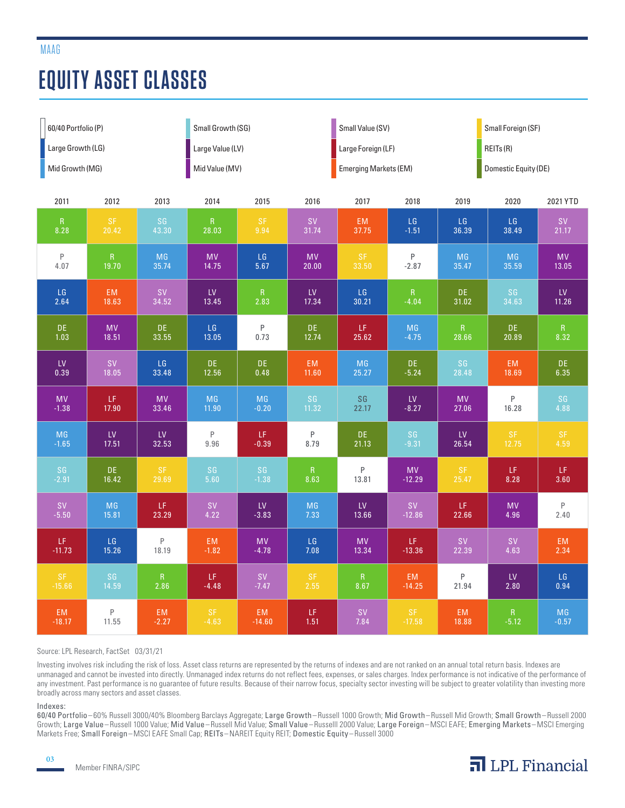## **EQUITY ASSET CLASSES**

| 60/40 Portfolio (P) |                  |                  | Small Growth (SG) |           |                                                                         | Small Value (SV)             |            |               | Small Foreign (SF)   |                  |
|---------------------|------------------|------------------|-------------------|-----------|-------------------------------------------------------------------------|------------------------------|------------|---------------|----------------------|------------------|
| Large Growth (LG)   |                  |                  | Large Value (LV)  |           |                                                                         | Large Foreign (LF)           |            |               | REITs(R)             |                  |
| Mid Growth (MG)     |                  |                  | Mid Value (MV)    |           |                                                                         | <b>Emerging Markets (EM)</b> |            |               | Domestic Equity (DE) |                  |
| 2011                | 2012             | 2013             | 2014              | 2015      | 2016                                                                    | 2017                         | 2018       | 2019          | 2020                 | 2021 YTD         |
| R                   | <b>SF</b>        | SG               | R                 | <b>SF</b> | <b>SV</b>                                                               | EM                           | LG         | LG            | LG                   | <b>SV</b>        |
| 8.28                | 20.42            | 43.30            | 28.03             | 9.94      | 31.74                                                                   | 37.75                        | $-1.51$    | 36.39         | 38.49                | 21.17            |
| $\mathsf P$         | $\mathsf R$      | MG               | <b>MV</b>         | LG        | <b>MV</b>                                                               | <b>SF</b>                    | $\sf P$    | <b>MG</b>     | MG                   | <b>MV</b>        |
| 4.07                | 19.70            | 35.74            | 14.75             | 5.67      | 20.00                                                                   | 33.50                        | $-2.87$    | 35.47         | 35.59                | 13.05            |
| LG                  | EM               | <b>SV</b>        | LV                | R         | ${\sf L}{\sf V}$                                                        | LG                           | R          | DE.           | SG                   | ${\sf L}{\sf V}$ |
| 2.64                | 18.63            | 34.52            | 13.45             | 2.83      | 17.34                                                                   | 30.21                        | $-4.04$    | 31.02         | 34.63                | 11.26            |
| <b>DE</b>           | <b>MV</b>        | DE.              | LG                | $\sf P$   | DE                                                                      | LF.                          | MG         | R             | DE.                  | R                |
| 1.03                | 18.51            | 33.55            | 13.05             | 0.73      | 12.74                                                                   | 25.62                        | $-4.75$    | 28.66         | 20.89                | 8.32             |
| ${\sf L}{\sf V}$    | <b>SV</b>        | LG               | DE.               | <b>DE</b> | <b>EM</b>                                                               | <b>MG</b>                    | <b>DE</b>  | SG            | EM                   | DE.              |
| 0.39                | 18.05            | 33.48            | 12.56             | 0.48      | 11.60                                                                   | 25.27                        | $-5.24$    | 28.48         | 18.69                | 6.35             |
| <b>MV</b>           | LF               | <b>MV</b>        | <b>MG</b>         | MG        | SG                                                                      | SG                           | ${\sf LV}$ | <b>MV</b>     | P                    | SG               |
| $-1.38$             | 17.90            | 33.46            | 11.90             | $-0.20$   | 11.32                                                                   | 22.17                        | $-8.27$    | 27.06         | 16.28                | 4.88             |
| MG                  | ${\sf L}{\sf V}$ | ${\sf L}{\sf V}$ | P                 | LF.       | P                                                                       | <b>DE</b>                    | SG         | ${\sf LV}$    | SF                   | SF               |
| $-1.65$             | 17.51            | 32.53            | 9.96              | $-0.39$   | 8.79                                                                    | 21.13                        | $-9.31$    | 26.54         | 12.75                | 4.59             |
| SG                  | DE.              | $S$ F            | SG                | SG        | R                                                                       | P                            | <b>MV</b>  | $\mathsf{SF}$ | LF                   | LF               |
| $-2.91$             | 16.42            | 29.69            | 5.60              | $-1.38$   | 8.63                                                                    | 13.81                        | $-12.29$   | 25.47         | 8.28                 | 3.60             |
| <b>SV</b>           | MG               | LF.              | <b>SV</b>         | LV        | MG                                                                      | ${\sf L}{\sf V}$             | <b>SV</b>  | LF.           | <b>MV</b>            | $\mathsf P$      |
| $-5.50$             | 15.81            | 23.29            | 4.22              | $-3.83$   | 7.33                                                                    | 13.66                        | $-12.86$   | 22.66         | 4.96                 | 2.40             |
| LF.                 | LG               | $\mathsf P$      | EM.               | <b>MV</b> | $\mathsf{LG}$                                                           | <b>MV</b>                    | LF.        | <b>SV</b>     | <b>SV</b>            | <b>EM</b>        |
| $-11.73$            | 15.26            | 18.19            | $-1.82$           | $-4.78$   | 7.08                                                                    | 13.34                        | $-13.36$   | 22.39         | 4.63                 | 2.34             |
| <b>SF</b>           | SG               | R                | LF.               | <b>SV</b> | SF                                                                      | $\vert R \vert$              | EM         | P             | ${\sf L}{\sf V}$     | LG               |
| $-15.66$            | 14.59            | 2.86             | $-4.48$           | $-7.47$   | 2.55                                                                    | 8.67                         | $-14.25$   | 21.94         | 2.80                 | 0.94             |
| EM                  | $\sf P$          | EM               | $\mathsf{SF}$     | EM        | $\mathsf{LF}% _{0}\left( t\right) \equiv\mathsf{LF}_{0}\left( t\right)$ | <b>SV</b>                    | <b>SF</b>  | EM            | $\vert R \vert$      | $MG$             |
| $-18.17$            | 11.55            | $-2.27$          | $-4.63$           | $-14.60$  | 1.51                                                                    | 7.84                         | $-17.58$   | 18.88         | $-5.12$              | $-0.57$          |

#### Source: LPL Research, FactSet 03/31/21

Investing involves risk including the risk of loss. Asset class returns are represented by the returns of indexes and are not ranked on an annual total return basis. Indexes are unmanaged and cannot be invested into directly. Unmanaged index returns do not reflect fees, expenses, or sales charges. Index performance is not indicative of the performance of any investment. Past performance is no guarantee of future results. Because of their narrow focus, specialty sector investing will be subject to greater volatility than investing more broadly across many sectors and asset classes.

#### Indexes:

60/40 Portfolio –60% Russell 3000/40% Bloomberg Barclays Aggregate; Large Growth–Russell 1000 Growth; Mid Growth –Russell Mid Growth; Small Growth–Russell 2000 Growth; Large Value–Russell 1000 Value; Mid Value –Russell Mid Value; Small Value –Russelll 2000 Value; Large Foreign –MSCI EAFE; Emerging Markets–MSCI Emerging Markets Free; Small Foreign –MSCI EAFE Small Cap; REITs–NAREIT Equity REIT; Domestic Equity–Russell 3000

03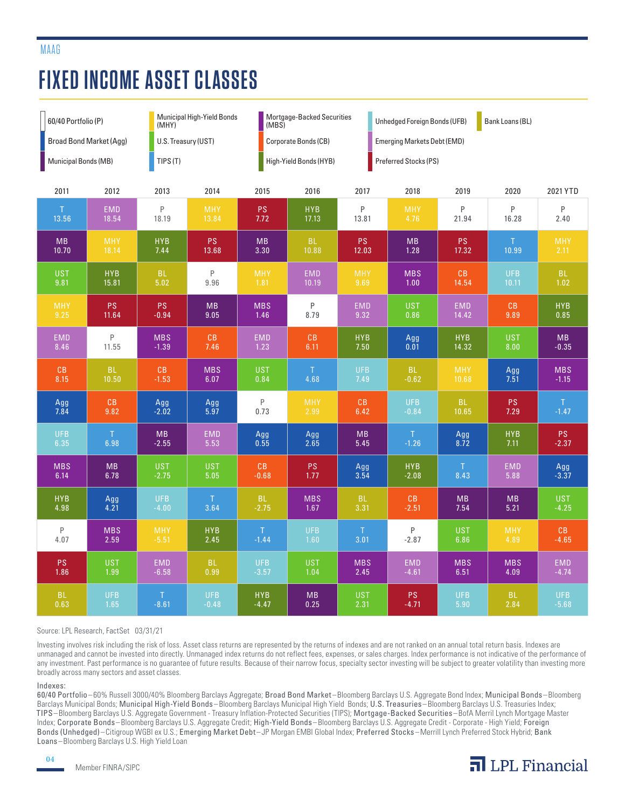## **FIXED INCOME ASSET CLASSES**

MAAG

| 60/40 Portfolio (P)     |             | (MHY)                  | <b>Municipal High-Yield Bonds</b> |                        | Mortgage-Backed Securities<br>(MBS) |            |                                                          | Unhedged Foreign Bonds (UFB)<br>Bank Loans (BL) |            |               |  |  |
|-------------------------|-------------|------------------------|-----------------------------------|------------------------|-------------------------------------|------------|----------------------------------------------------------|-------------------------------------------------|------------|---------------|--|--|
| Broad Bond Market (Agg) |             |                        | U.S. Treasury (UST)               |                        | Corporate Bonds (CB)                |            |                                                          | <b>Emerging Markets Debt (EMD)</b>              |            |               |  |  |
| Municipal Bonds (MB)    |             | TIPS(T)                |                                   | High-Yield Bonds (HYB) |                                     |            | Preferred Stocks (PS)                                    |                                                 |            |               |  |  |
| 2011                    | 2012        | 2013                   | 2014                              | 2015                   | 2016                                | 2017       | 2018                                                     | 2019                                            | 2020       | 2021 YTD      |  |  |
| T                       | <b>EMD</b>  | P                      | <b>MHY</b>                        | <b>PS</b>              | <b>HYB</b>                          | P          | <b>MHY</b>                                               | P                                               | P          | P             |  |  |
| 13.56                   | 18.54       | 18.19                  | 13.84                             | 7.72                   | 17.13                               | 13.81      | 4.76                                                     | 21.94                                           | 16.28      | 2.40          |  |  |
| <b>MB</b>               | <b>MHY</b>  | <b>HYB</b>             | <b>PS</b>                         | <b>MB</b>              | <b>BL</b>                           | <b>PS</b>  | <b>MB</b>                                                | PS.                                             | T.         | <b>MHY</b>    |  |  |
| 10.70                   | 18.14       | 7.44                   | 13.68                             | 3.30                   | 10.88                               | 12.03      | 1.28                                                     | 17.32                                           | 10.99      | 2.11          |  |  |
| <b>UST</b>              | <b>HYB</b>  | <b>BL</b>              | $\mathsf P$                       | <b>MHY</b>             | <b>EMD</b>                          | <b>MHY</b> | <b>MBS</b>                                               | CB                                              | <b>UFB</b> | BL            |  |  |
| 9.81                    | 15.81       | 5.02                   | 9.96                              | 1.81                   | 10.19                               | 9.69       | $1.00$                                                   | 14.54                                           | 10.11      | 1.02          |  |  |
| <b>MHY</b>              | <b>PS</b>   | <b>PS</b>              | <b>MB</b>                         | <b>MBS</b>             | P                                   | <b>EMD</b> | <b>UST</b>                                               | <b>EMD</b>                                      | CB         | <b>HYB</b>    |  |  |
| 9.25                    | 11.64       | $-0.94$                | 9.05                              | 1.46                   | 8.79                                | 9.32       | 0.86                                                     | 14.42                                           | 9.89       | 0.85          |  |  |
| <b>EMD</b>              | $\mathsf P$ | <b>MBS</b>             | CB                                | <b>EMD</b>             | CB                                  | <b>HYB</b> | $\begin{array}{c} \text{Agg} \\ \text{0.01} \end{array}$ | <b>HYB</b>                                      | <b>UST</b> | <b>MB</b>     |  |  |
| 8.46                    | 11.55       | $-1.39$                | 7.46                              | 1.23                   | 6.11                                | 7.50       |                                                          | 14.32                                           | 8.00       | $-0.35$       |  |  |
| CB                      | <b>BL</b>   | $\mathbb{C}\mathbb{B}$ | <b>MBS</b>                        | <b>UST</b>             | $\top$                              | <b>UFB</b> | BL                                                       | <b>MHY</b>                                      | Agg        | <b>MBS</b>    |  |  |
| 8.15                    | 10.50       | $-1.53$                | 6.07                              | 0.84                   | 4.68                                | 7.49       | $-0.62$                                                  | 10.68                                           | 7.51       | $-1.15$       |  |  |
| Agg<br>7.84             | CB          | Agg                    | Agg                               | P                      | <b>MHY</b>                          | CB         | <b>UFB</b>                                               | BL.                                             | PS         | $\top$        |  |  |
|                         | 9.82        | $-2.02$                | 5.97                              | 0.73                   | 2.99                                | 6.42       | $-0.84$                                                  | 10.65                                           | 7.29       | $-1.47$       |  |  |
| <b>UFB</b>              | $\top$      | <b>MB</b>              | <b>EMD</b>                        | Agg                    | Agg                                 | <b>MB</b>  | T.                                                       | Agg                                             | <b>HYB</b> | $\mathsf{PS}$ |  |  |
| 6.35                    | 6.98        | $-2.55$                | 5.53                              | 0.55                   | 2.65                                | 5.45       | $-1.26$                                                  | 8.72                                            | 7.11       | $-2.37$       |  |  |
| <b>MBS</b>              | <b>MB</b>   | <b>UST</b>             | <b>UST</b>                        | CB                     | PS                                  | Agg        | <b>HYB</b>                                               | $\top$                                          | <b>EMD</b> | Agg           |  |  |
| 6.14                    | 6.78        | $-2.75$                | 5.05                              | $-0.68$                | 1.77                                | 3.54       | $-2.08$                                                  | 8.43                                            | 5.88       | $-3.37$       |  |  |
| <b>HYB</b>              | Agg         | <b>UFB</b>             | $\mathsf{T}$                      | <b>BL</b>              | <b>MBS</b>                          | <b>BL</b>  | CB                                                       | <b>MB</b>                                       | <b>MB</b>  | <b>UST</b>    |  |  |
| 4.98                    | 4.21        | $-4.00$                | 3.64                              | $-2.75$                | 1.67                                | 3.31       | $-2.51$                                                  | 7.54                                            | 5.21       | $-4.25$       |  |  |
| P                       | <b>MBS</b>  | <b>MHY</b>             | <b>HYB</b>                        | $\top$                 | <b>UFB</b>                          | $\top$     | $\mathsf{P}$                                             | <b>UST</b>                                      | <b>MHY</b> | CB            |  |  |
| 4.07                    | 2.59        | $-5.51$                | 2.45                              | $-1.44$                | 1.60                                | 3.01       | $-2.87$                                                  | 6.86                                            | 4.89       | $-4.65$       |  |  |
| <b>PS</b>               | <b>UST</b>  | <b>EMD</b>             | <b>BL</b>                         | <b>UFB</b>             | <b>UST</b>                          | <b>MBS</b> | <b>EMD</b>                                               | <b>MBS</b>                                      | <b>MBS</b> | <b>EMD</b>    |  |  |
| 1.86                    | 1.99        | $-6.58$                | 0.99                              | $-3.57$                | 1.04                                | 2.45       | $-4.61$                                                  | 6.51                                            | 4.09       | $-4.74$       |  |  |
| <b>BL</b>               | <b>UFB</b>  | T                      | <b>UFB</b>                        | <b>HYB</b>             | <b>MB</b>                           | <b>UST</b> | $\mathsf{PS}$                                            | <b>UFB</b>                                      | <b>BL</b>  | <b>UFB</b>    |  |  |
| 0.63                    | 1.65        | $-8.61$                | $-0.48$                           | $-4.47$                | 0.25                                | 2.31       | $-4.71$                                                  | 5.90                                            | 2.84       | $-5.68$       |  |  |

#### Source: LPL Research, FactSet 03/31/21

Investing involves risk including the risk of loss. Asset class returns are represented by the returns of indexes and are not ranked on an annual total return basis. Indexes are unmanaged and cannot be invested into directly. Unmanaged index returns do not reflect fees, expenses, or sales charges. Index performance is not indicative of the performance of any investment. Past performance is no guarantee of future results. Because of their narrow focus, specialty sector investing will be subject to greater volatility than investing more broadly across many sectors and asset classes.

#### Indexes:

60/40 Portfolio –60% Russell 3000/40% Bloomberg Barclays Aggregate; Broad Bond Market –Bloomberg Barclays U.S. Aggregate Bond Index; Municipal Bonds–Bloomberg Barclays Municipal Bonds; Municipal High-Yield Bonds – Bloomberg Barclays Municipal High Yield Bonds; U.S. Treasuries – Bloomberg Barclays U.S. Treasuries Index; TIPS–Bloomberg Barclays U.S. Aggregate Government - Treasury Inflation-Protected Securities (TIPS); Mortgage-Backed Securities–BofA Merril Lynch Mortgage Master Index; Corporate Bonds–Bloomberg Barclays U.S. Aggregate Credit; High-Yield Bonds –Bloomberg Barclays U.S. Aggregate Credit - Corporate - High Yield; Foreign Bonds (Unhedged)–Citigroup WGBI ex U.S.; Emerging Market Debt–JP Morgan EMBI Global Index; Preferred Stocks–Merrill Lynch Preferred Stock Hybrid; Bank Loans–Bloomberg Barclays U.S. High Yield Loan

04

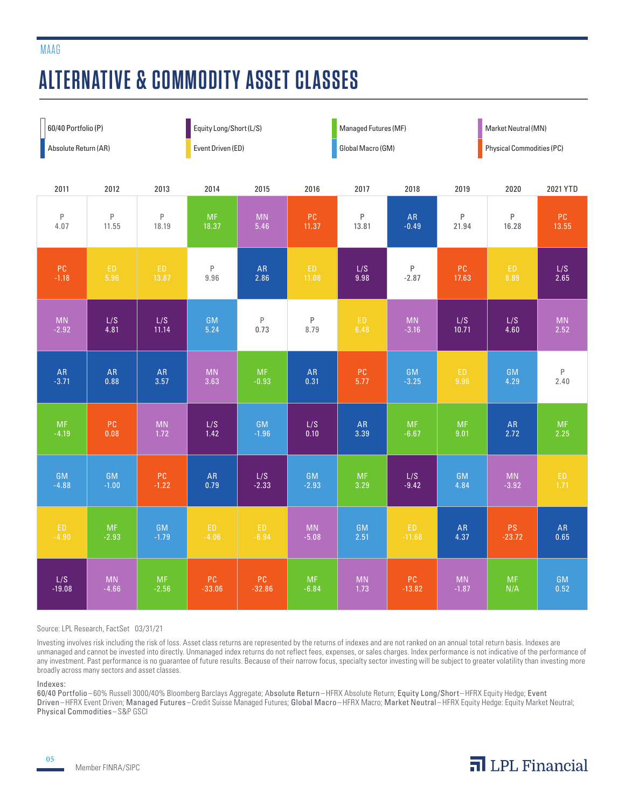## **ALTERNATIVE & COMMODITY ASSET CLASSES**

| 60/40 Portfolio (P)  |             |                        | Equity Long/Short (L/S) |                        |              | Managed Futures (MF)   |            | Market Neutral (MN)              |            |             |
|----------------------|-------------|------------------------|-------------------------|------------------------|--------------|------------------------|------------|----------------------------------|------------|-------------|
| Absolute Return (AR) |             |                        | Event Driven (ED)       |                        |              | Global Macro (GM)      |            | <b>Physical Commodities (PC)</b> |            |             |
| 2011                 | 2012        | 2013                   | 2014                    | 2015                   | 2016         | 2017                   | 2018       | 2019                             | 2020       | 2021 YTD    |
| P                    | $\mathsf P$ | $\mathsf P$            | MF                      | $\mathsf{M}\mathsf{N}$ | ${\sf PC}$   | P                      | ${\sf AR}$ | $\sf P$                          | $\sf P$    | PC          |
| 4.07                 | 11.55       | 18.19                  | 18.37                   | 5.46                   | 11.37        | 13.81                  | $-0.49$    | 21.94                            | 16.28      | 13.55       |
| PC                   | ${\sf ED}$  | ED                     | $\sf P$                 | ${\sf AR}$             | ED           | L/S                    | $\sf P$    | ${\sf PC}$                       | ED         | L/S         |
| $-1.18$              | 5.96        | 13.87                  | 9.96                    | 2.86                   | 11.08        | 9.98                   | $-2.87$    | 17.63                            | 8.89       | 2.65        |
| <b>MN</b>            | L/S         | L/S                    | <b>GM</b>               | P                      | $\mathsf{P}$ | ${\sf ED}$             | MN         | L/S                              | L/S        | <b>MN</b>   |
| $-2.92$              | 4.81        | 11.14                  | 5.24                    | 0.73                   | 8.79         | 6.48                   | $-3.16$    | 10.71                            | 4.60       | 2.52        |
| ${\sf AR}$           | <b>AR</b>   | AR                     | $\mathsf{M}\mathsf{N}$  | <b>MF</b>              | ${\sf AR}$   | ${\sf PC}$             | GM         | ED.                              | <b>GM</b>  | $\mathsf P$ |
| $-3.71$              | 0.88        | 3.57                   | 3.63                    | $-0.93$                | 0.31         | 5.77                   | $-3.25$    | 9.96                             | 4.29       | 2.40        |
| <b>MF</b>            | PC.         | $\mathsf{M}\mathsf{N}$ | L/S                     | GM                     | L/S          | ${\sf AR}$             | <b>MF</b>  | <b>MF</b>                        | ${\sf AR}$ | <b>MF</b>   |
| $-4.19$              | 0.08        | 1.72                   | 1.42                    | $-1.96$                | 0.10         | 3.39                   | $-6.67$    | 9.01                             | 2.72       | 2.25        |
| GM                   | GM          | ${\sf PC}$             | ${\sf AR}$              | L/S                    | GM           | $\sf MF$               | L/S        | <b>GM</b>                        | <b>MN</b>  | ED          |
| $-4.88$              | $-1.00$     | $-1.22$                | 0.79                    | $-2.33$                | $-2.93$      | 3.29                   | $-9.42$    | 4.84                             | $-3.92$    | 1.71        |
| ED.                  | MF          | GM                     | ED.                     | ED.                    | <b>MN</b>    | GM                     | ED.        | ${\sf AR}$                       | PS         | ${\sf AR}$  |
| $-4.90$              | $-2.93$     | $-1.79$                | $-4.06$                 | $-6.94$                | $-5.08$      | 2.51                   | $-11.68$   | 4.37                             | $-23.72$   | 0.65        |
| L/S                  | <b>MN</b>   | <b>MF</b>              | PC                      | PC                     | <b>MF</b>    | $\mathsf{M}\mathsf{N}$ | PC         | <b>MN</b>                        | <b>MF</b>  | <b>GM</b>   |
| $-19.08$             | $-4.66$     | $-2.56$                | $-33.06$                | $-32.86$               | $-6.84$      | 1.73                   | $-13.82$   | $-1.87$                          | N/A        | 0.52        |

#### Source: LPL Research, FactSet 03/31/21

Investing involves risk including the risk of loss. Asset class returns are represented by the returns of indexes and are not ranked on an annual total return basis. Indexes are unmanaged and cannot be invested into directly. Unmanaged index returns do not reflect fees, expenses, or sales charges. Index performance is not indicative of the performance of any investment. Past performance is no guarantee of future results. Because of their narrow focus, specialty sector investing will be subject to greater volatility than investing more broadly across many sectors and asset classes.

#### Indexes:

05

60/40 Portfolio –60% Russell 3000/40% Bloomberg Barclays Aggregate; Absolute Return –HFRX Absolute Return; Equity Long/Short –HFRX Equity Hedge; Event Driven–HFRX Event Driven; Managed Futures–Credit Suisse Managed Futures; Global Macro–HFRX Macro; Market Neutral –HFRX Equity Hedge: Equity Market Neutral; Physical Commodities –S&P GSCI

MAAG